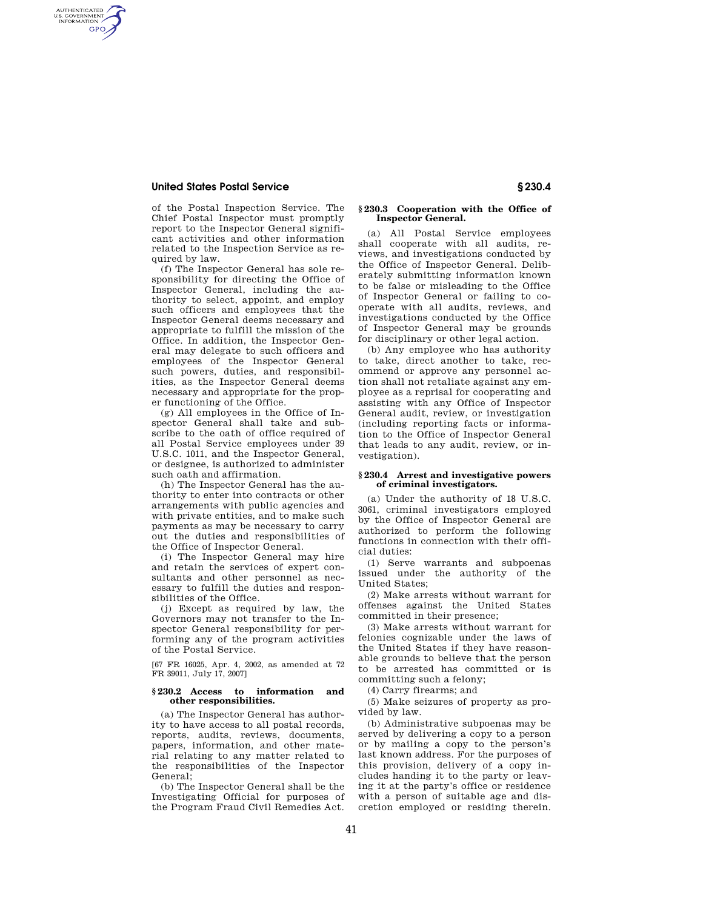# **United States Postal Service § 230.4**

AUTHENTICATED<br>U.S. GOVERNMENT<br>INFORMATION GPO

> of the Postal Inspection Service. The Chief Postal Inspector must promptly report to the Inspector General significant activities and other information related to the Inspection Service as required by law.

(f) The Inspector General has sole responsibility for directing the Office of Inspector General, including the authority to select, appoint, and employ such officers and employees that the Inspector General deems necessary and appropriate to fulfill the mission of the Office. In addition, the Inspector General may delegate to such officers and employees of the Inspector General such powers, duties, and responsibilities, as the Inspector General deems necessary and appropriate for the proper functioning of the Office.

(g) All employees in the Office of Inspector General shall take and subscribe to the oath of office required of all Postal Service employees under 39 U.S.C. 1011, and the Inspector General, or designee, is authorized to administer such oath and affirmation.

(h) The Inspector General has the authority to enter into contracts or other arrangements with public agencies and with private entities, and to make such payments as may be necessary to carry out the duties and responsibilities of the Office of Inspector General.

(i) The Inspector General may hire and retain the services of expert consultants and other personnel as necessary to fulfill the duties and responsibilities of the Office.

(j) Except as required by law, the Governors may not transfer to the Inspector General responsibility for performing any of the program activities of the Postal Service.

[67 FR 16025, Apr. 4, 2002, as amended at 72 FR 39011, July 17, 2007]

## **§ 230.2 Access to information and other responsibilities.**

(a) The Inspector General has authority to have access to all postal records, reports, audits, reviews, documents, papers, information, and other material relating to any matter related to the responsibilities of the Inspector General;

(b) The Inspector General shall be the Investigating Official for purposes of the Program Fraud Civil Remedies Act.

### **§ 230.3 Cooperation with the Office of Inspector General.**

(a) All Postal Service employees shall cooperate with all audits, reviews, and investigations conducted by the Office of Inspector General. Deliberately submitting information known to be false or misleading to the Office of Inspector General or failing to cooperate with all audits, reviews, and investigations conducted by the Office of Inspector General may be grounds for disciplinary or other legal action.

(b) Any employee who has authority to take, direct another to take, recommend or approve any personnel action shall not retaliate against any employee as a reprisal for cooperating and assisting with any Office of Inspector General audit, review, or investigation (including reporting facts or information to the Office of Inspector General that leads to any audit, review, or investigation).

#### **§ 230.4 Arrest and investigative powers of criminal investigators.**

(a) Under the authority of 18 U.S.C. 3061, criminal investigators employed by the Office of Inspector General are authorized to perform the following functions in connection with their official duties:

(1) Serve warrants and subpoenas issued under the authority of the United States;

(2) Make arrests without warrant for offenses against the United States committed in their presence;

(3) Make arrests without warrant for felonies cognizable under the laws of the United States if they have reasonable grounds to believe that the person to be arrested has committed or is committing such a felony;

(4) Carry firearms; and

(5) Make seizures of property as provided by law.

(b) Administrative subpoenas may be served by delivering a copy to a person or by mailing a copy to the person's last known address. For the purposes of this provision, delivery of a copy includes handing it to the party or leaving it at the party's office or residence with a person of suitable age and discretion employed or residing therein.